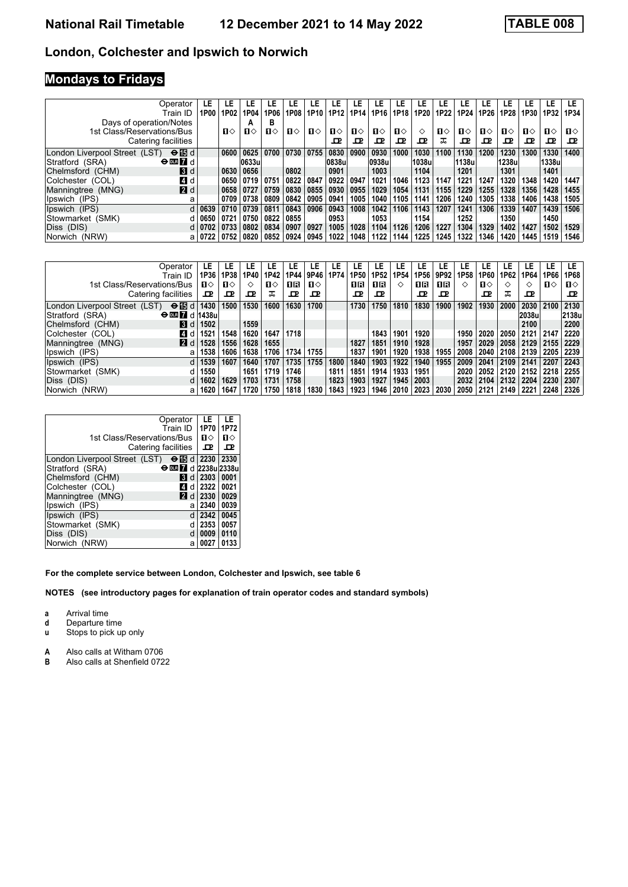#### **London, Colchester and Ipswich to Norwich**

# **Mondays to Fridays**

| Operator                                       | LE      | LE   | LE    | LE   | LE   | -E.  | ۵E.   | LE           | LE           | LE.          | LE    | LE   | LE           | ۵E.  | LE    | LE   | LE           | LE   |
|------------------------------------------------|---------|------|-------|------|------|------|-------|--------------|--------------|--------------|-------|------|--------------|------|-------|------|--------------|------|
| Train ID                                       | 1P00    | 1P02 | 1P04  | 1P06 | 1P08 | 1P10 | 1P12  | 1P14         | 1P16         | 1P18         | 1P20  | 1P22 | 1P24         | 1P26 | 1P28  | 1P30 | 1P32         | 1P34 |
| Days of operation/Notes                        |         |      | A     | в    |      |      |       |              |              |              |       |      |              |      |       |      |              |      |
| 1st Class/Reservations/Bus                     |         | п⇔   | п⇔    | п⇔   | п⇔   | ப⇔   | ்ப    | $\mathbf{u}$ | $\mathbf{n}$ | п⇔           | ◇     | ப⇔   | $\mathbf{u}$ | п⇔   | п⇔    | п⇔   | $\mathbf{n}$ | п⇔   |
| Catering facilities                            |         |      |       |      |      |      | œ     | <b>D</b>     | 굔            | $\mathbf{P}$ | ᇁ     | ᠼ    | ᇁ            | ᇚ    | ᇁ     | ᇚ    | ᄆ            | ᄆ    |
| $\Theta$ is d<br>London Liverpool Street (LST) |         | 0600 | 0625  | 0700 | 0730 | 0755 | 0830  | 0900         | 0930         | 1000         | 1030  | 1100 | 1130         | 1200 | 1230  | 1300 | 1330         | 1400 |
| Stratford (SRA)<br>$\Theta$ or $\bf{Z}$ d      |         |      | 0633u |      |      |      | 0838u |              | 0938u        |              | 1038u |      | 1138ul       |      | 1238u |      | 1338ul       |      |
| 3d<br>Chelmsford (CHM)                         |         | 0630 | 0656  |      | 0802 |      | 0901  |              | 1003         |              | 1104  |      | 1201         |      | 1301  |      | 1401         |      |
| 4 d<br>Colchester (COL)                        |         | 0650 | 0719  | 0751 | 0822 | 0847 | 0922  | 0947         | 1021         | 1046         | 1123  | 1147 | 1221         | 1247 | 1320  | 1348 | 1420         | 1447 |
| <b>2</b> d<br>Manningtree (MNG)                |         | 0658 | 0727  | 0759 | 0830 | 0855 | 0930  | 0955         | 1029         | 1054         | 1131  | 1155 | 1229         | 1255 | 1328  | 1356 | 1428         | 1455 |
| Ipswich (IPS)<br>a                             |         | 0709 | 0738  | 0809 | 0842 | 0905 | 0941  | 1005         | 1040         | 1105         | 1141  | 1206 | 1240         | 1305 | 1338  | 1406 | 1438         | 1505 |
| Ipswich (IPS)<br>d                             | 0639    | 0710 | 0739  | 0811 | 0843 | 0906 | 0943  | 1008         | 1042         | 1106         | 1143  | 1207 | 1241         | 1306 | 1339  | 1407 | 1439         | 1506 |
| Stowmarket (SMK)                               | 0650    | 0721 | 0750  | 0822 | 0855 |      | 0953  |              | 1053         |              | 1154  |      | 1252         |      | 1350  |      | 1450         |      |
| Diss (DIS)                                     | 0702    | 0733 | 0802  | 0834 | 0907 | 0927 | 1005  | 1028         | 1104         | 1126         | 1206  | 1227 | 1304         | 1329 | 1402  | 1427 | 1502         | 1529 |
| (NRW)<br>Norwich                               | al 0722 | 0752 | 0820  | 0852 | 0924 | 0945 | 1022  | 1048         | 1122.        | 1144         | 1225  | 1245 | 1322         | 1346 | 1420  | 1445 | 1519         | 1546 |

| Operator                                                | LE   | LE   | LE   | LE   | LE   | LE           | LE   | LE.  | LE    | ᄔ    | LE   | LE           | LE   | ᄔ    | LE    | LE        | LE   | LE.   |
|---------------------------------------------------------|------|------|------|------|------|--------------|------|------|-------|------|------|--------------|------|------|-------|-----------|------|-------|
| Train ID                                                | 1P36 | 1P38 | 1P40 | 1P42 | 1P44 | 9P46         | 1P74 | 1P50 | 1P52. | 1P54 | 1P56 | 9P92         | 1P58 | 1P60 | 1P62. | 1P64      | 1P66 | 1P68  |
| 1st Class/Reservations/Bus                              | п⇔   | ்ப   | ◇    | ்ப   | n R  | $\mathbf{u}$ |      | 1R   | 1R    | ◇    | 16   | 1R           | ◇    | п⇔   | ◇     | ◇         | п⇔   | п⇔    |
| Catering facilities                                     | ᇁ    | 굔    | ᇁ    | ᠼ    | 굔    | ᇁ            |      | œ    | ᇁ     |      | ᇁ    | $\mathbf{P}$ |      | ஈ    | ᠼ     | ᇁ         |      | ᅟᇚ    |
| London Liverpool Street (LST)<br>$\Theta$ is d          | 1430 | 1500 | 1530 | 1600 | 1630 | 1700         |      | 1730 | 1750  | 1810 | 1830 | 1900         | 1902 | 1930 | 2000  | 2030      | 2100 | 2130  |
| $\Theta$ DS $\blacksquare$ d   1438u<br>Stratford (SRA) |      |      |      |      |      |              |      |      |       |      |      |              |      |      |       | 2038u     |      | 2138u |
| Chelmsford (CHM)<br> 3 d                                | 1502 |      | 1559 |      |      |              |      |      |       |      |      |              |      |      |       | 2100      |      | 2200  |
| <b>4d</b><br>Colchester (COL)                           | 1521 | 1548 | 1620 | 1647 | 1718 |              |      |      | 1843  | 1901 | 1920 |              | 1950 | 2020 | 2050  | 2121      | 2147 | 2220  |
| $\blacksquare$ d<br>Manningtree (MNG)                   | 1528 | 1556 | 1628 | 1655 |      |              |      | 1827 | 1851  | 1910 | 1928 |              | 1957 | 2029 | 2058  | 2129      | 2155 | 2229  |
| 'Ipswich (IPS)                                          | 1538 | 1606 | 1638 | 1706 | 1734 | 1755         |      | 1837 | 1901  | 1920 | 1938 | 1955         | 2008 | 2040 | 2108  | 2139      | 2205 | 2239  |
| Ipswich (IPS)                                           | 1539 | 1607 | 1640 | 1707 | 1735 | 1755         | 1800 | 1840 | 1903  | 1922 | 1940 | 1955         | 2009 | 2041 | 2109  | 2141      | 2207 | 2243  |
| Stowmarket (SMK)                                        | 1550 |      | 1651 | 1719 | 1746 |              | 1811 | 1851 | 1914  | 1933 | 1951 |              | 2020 | 2052 | 2120  | 2152 2218 |      | 2255  |
| Diss (DIS)                                              | 1602 | 1629 | 1703 | 1731 | 1758 |              | 1823 | 1903 | 1927  | 1945 | 2003 |              | 2032 | 2104 | 2132  | 2204      | 2230 | 2307  |
| Norwich (NRW)<br>а                                      | 1620 | 1647 | 1720 | 1750 | 1818 | 1830         | 1843 | 1923 | 1946  | 2010 | 2023 | 2030         | 2050 | 2121 | 2149  | 2221      | 2248 | 2326  |

|                                                    | Operator                                 |            | LE   | LF   |
|----------------------------------------------------|------------------------------------------|------------|------|------|
|                                                    | Train ID                                 |            | 1P70 | 1P72 |
| 1st Class/Reservations/Bus                         |                                          |            | п⇔   | п⇔   |
|                                                    | Catering facilities                      |            | ᅭ    | 굔    |
| London Liverpool Street (LST) $\Theta$ <b>is</b> d |                                          |            | 2230 | 2330 |
| Stratford (SRA)                                    | $\Theta$ DE $\blacksquare$ d 2238u 2338u |            |      |      |
| Chelmsford (CHM)                                   |                                          | I 3 I<br>d | 2303 | 0001 |
| Colchester (COL)                                   |                                          | 4.<br>d    | 2322 | 0021 |
| Manningtree (MNG)                                  |                                          | <b>2</b> d | 2330 | 0029 |
| Ipswich (IPS)                                      |                                          | a          | 2340 | 0039 |
| Ipswich (IPS)                                      |                                          | d          | 2342 | 0045 |
| Stowmarket (SMK)                                   |                                          | d          | 2353 | 0057 |
| Diss (DIS)                                         |                                          | d          | 0009 | 0110 |
| Norwich (NRW)                                      |                                          | a          | 0027 | 0133 |

**For the complete service between London, Colchester and Ipswich, see table** 

**NOTES (see introductory pages for explanation of train operator codes and standard symbols)**

**a** Arrival time

- **d** Departure time<br>**u** Stops to pick up
- **X** Stops to pick up only
- **A** Also calls at Witham 0706<br>**B** Also calls at Shenfield 072
- Also calls at Shenfield 0722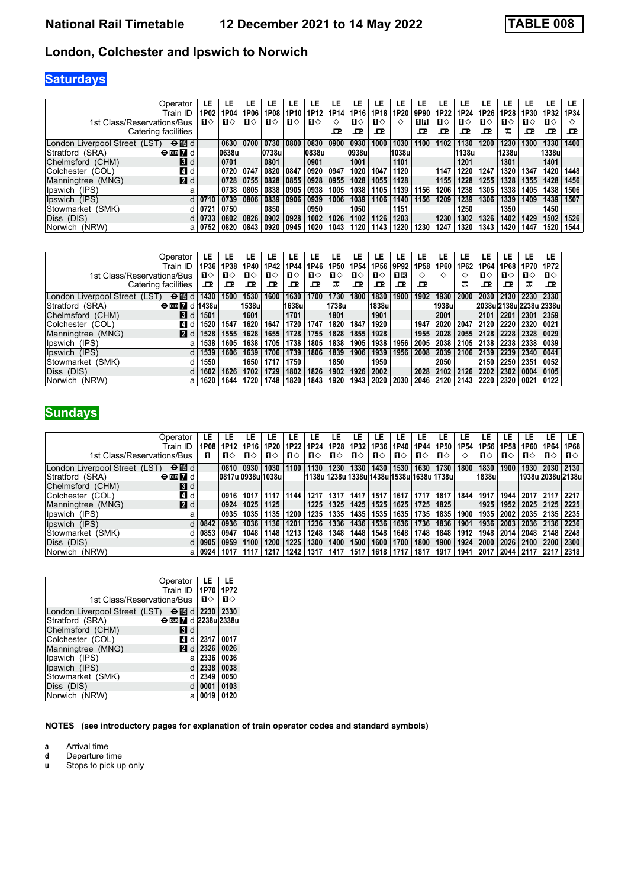## **London, Colchester and Ipswich to Norwich**

# **Saturdays**

| Operator                                       | LE   | LE           | LE   | LE    | LE   | LE    | LE   | LE        | LE           | LE     | LE   | LE   | LE     | LE   | LE     | LE   | LE           | LE.  |
|------------------------------------------------|------|--------------|------|-------|------|-------|------|-----------|--------------|--------|------|------|--------|------|--------|------|--------------|------|
| Train ID                                       | 1P02 | 1P04         | 1P06 | 1P08  | 1P10 | 1P12  | 1P14 | 1P16      | 1P18         | 1P20   | 9P90 | 1P22 | 1P24   | 1P26 | 1P28   | 1P30 | 1P32         | 1P34 |
| 1st Class/Reservations/Bus                     | п⇔   | $\mathbf{n}$ | ்ப   | ்ப    | ்ப   | п⇔    | ◇    | п⇔        | $\mathbf{n}$ | ◇      | 1 R  | п⇔   | п⇔     | п⇔   | п⇔     | п⇔   | $\mathbf{n}$ | ◇    |
| Catering facilities                            |      |              |      |       |      |       | ᇁ    | œ         | ᇁ            |        | ᅭ    | ᇁ    | ᇁ      | ᇁ    | ᠼ      | ᇛ    | ᄆ            | œ    |
| London Liverpool Street (LST)<br>$\Theta$ is d |      | 0630         | 0700 | 0730  | 0800 | 0830  | 0900 | 0930      | 1000         | 1030   | 1100 | 1102 | 1130   | 1200 | 1230   | 1300 | 1330         | 1400 |
| $\Theta$ or $\bf{Z}$ d<br>Stratford (SRA)      |      | 0638u        |      | 0738u |      | 0838u |      | $ 0938$ u |              | 1038ul |      |      | 1138ul |      | 1238ul |      | 1338ul       |      |
| Chelmsford (CHM)<br><b>3</b> d                 |      | 0701         |      | 0801  |      | 0901  |      | 1001      |              | 1101   |      |      | 1201   |      | 1301   |      | 1401         |      |
| 4 d<br>Colchester (COL)                        |      | 0720         | 0747 | 0820  | 0847 | 0920  | 0947 | 1020      | 1047         | 1120   |      | 1147 | 1220   | 1247 | 1320   | 1347 | 1420         | 1448 |
| 21 d<br>Manningtree (MNG)                      |      | 0728         | 0755 | 0828  | 0855 | 0928  | 0955 | 1028      | 1055         | 1128   |      | 1155 | 1228   | 1255 | 1328   | 1355 | 1428         | 1456 |
| Ipswich (IPS)<br>a                             |      | 0738         | 0805 | 0838  | 0905 | 0938  | 1005 | 1038      | 1105         | 1139   | 1156 | 1206 | 1238   | 1305 | 1338   | 1405 | 1438         | 1506 |
| Ipswich (IPS)<br>d                             | 0710 | 0739         | 0806 | 0839  | 0906 | 0939  | 1006 | 1039      | 1106         | 1140   | 1156 | 1209 | 1239   | 1306 | 1339   | 1409 | 1439         | 1507 |
| Stowmarket (SMK)<br>d                          | 0721 | 0750         |      | 0850  |      | 0950  |      | 1050      |              | 1151   |      |      | 1250   |      | 1350   |      | 1450         |      |
| Diss (DIS)<br>d                                | 0733 | 0802         | 0826 | 0902  | 0928 | 1002  | 1026 | 1102      | 1126         | 1203   |      | 1230 | 1302   | 1326 | 1402   | 1429 | 1502         | 1526 |
| Norwich (NRW)<br>а                             | 0752 | 0820         | 0843 | 0920  | 0945 | 1020  | 1043 | 1120      | 1143         | 1220   | 1230 | 1247 | 1320   | 1343 | 1420   | 1447 | 1520         | 1544 |

| Operator                                                  | LE           | LE   | LE           | LE           | LE    | LE   | LE           | LE           | LE           | LE   | LE   | LE     | LE   | LE       | LE                      | LE   | LE           |
|-----------------------------------------------------------|--------------|------|--------------|--------------|-------|------|--------------|--------------|--------------|------|------|--------|------|----------|-------------------------|------|--------------|
| Train ID                                                  | 1P36         | 1P38 | 1P40         | 1P42         | 1P44  | 1P46 | 1P50         | 1P54         | ∣ 1P56 I     | 9P92 | 1P58 | 1P60   | 1P62 | 1P64     | 1P68                    | 1P70 | 1P72         |
| 1st Class/Reservations/Bus                                | $\mathbf{n}$ | п⇔   | $\mathbf{n}$ | $\mathbf{n}$ | п⇔    | п⇔   | $\mathbf{n}$ | $\mathbf{n}$ | $\mathbf{u}$ | 1R.  | ◇    | ◇      | ◇    | п⇔       | п⇔                      | п⇔   | $\mathbf{n}$ |
| Catering facilities                                       | ᅭ            | 굔    | ᇁ            | 굔            | ᇁ     | 굔    | ᠼ            | œ            | ᇁ            | ᄆ    | ᇁ    |        | ᠼ    | <b>D</b> | ᇁ                       | ᠼ    | 굔            |
| $\Theta$ id<br>London Liverpool Street (LST)              | 1430         | 1500 | 1530         | 1600         | 1630  | 1700 | 1730         | 1800         | 1830         | 1900 | 1902 | 1930   | 2000 | 2030     | 2130                    | 2230 | 2330         |
| $\Theta$ DIE $\blacksquare$ d   1438 u<br>Stratford (SRA) |              |      | 1538u        |              | 1638u |      | 1738ul       |              | 1838u        |      |      | 1938ul |      |          | 2038u 2138u 2238u 2338u |      |              |
| <b>B</b> Id<br>Chelmsford (CHM)                           | 1501         |      | 1601         |              | 1701  |      | 1801         |              | 1901         |      |      | 2001   |      | 2101     | 2201                    | 2301 | 2359         |
| Colchester (COL)<br>ZI d                                  | 1520         | 1547 | 1620         | 1647         | 1720  | 1747 | 1820         | 1847         | 1920         |      | 1947 | 2020   | 2047 | 2120     | 2220                    | 2320 | 0021         |
| <b>2</b> d<br>Manningtree (MNG)                           | 1528         | 1555 | 1628         | 1655         | 1728  | 1755 | 1828         | 1855         | 1928         |      | 1955 | 2028   | 2055 | 2128     | 2228                    | 2328 | 0029         |
| Ipswich (IPS)<br>a                                        | 1538         | 1605 | 1638         | 1705         | 1738  | 1805 | 1838         | 1905         | 1938         | 1956 | 2005 | 2038   | 2105 | 2138     | 2238                    | 2338 | 0039         |
| Ipswich (IPS)                                             | 1539         | 1606 | 1639         | 1706         | 1739  | 1806 | 1839         | 1906         | 1939         | 1956 | 2008 | 2039   | 2106 | 2139     | 2239                    | 2340 | 0041         |
| Stowmarket (SMK)                                          | 1550         |      | 1650         | 1717         | 1750  |      | 1850         |              | 1950         |      |      | 2050   |      | 2150     | 2250                    | 2351 | 0052         |
| Diss (DIS)                                                | 1602         | 1626 | 1702         | 1729         | 1802  | 1826 | 1902         | 1926         | 2002         |      | 2028 | 2102   | 2126 | 2202     | 2302                    | 0004 | 0105         |
| Norwich (NRW)<br>а                                        | 1620         | 1644 | 1720         | 1748         | 1820  | 1843 | 1920         | 1943         | 2020         | 2030 | 2046 | 2120   | 2143 | 2220     | 2320                    | 0021 | 0122         |

## **Sundays**

| Operator                                       | LE         | LE                | LE           | LE   | LE           | LE                                          | LE           | LE           | LE           | LE           | LE           | LE   | LE   | LE    | LE               | LE   | LE.            | LE.               |
|------------------------------------------------|------------|-------------------|--------------|------|--------------|---------------------------------------------|--------------|--------------|--------------|--------------|--------------|------|------|-------|------------------|------|----------------|-------------------|
| Train ID                                       | 1P08       | 1P12              | 1P16         | 1P20 | 1P22         | 1P24                                        | 1P28         | 1P32         | 1P36         | 1P40         | 1P44         | 1P50 | 1P54 | 1P56  | 1P <sub>58</sub> | 1P60 | 1P64           | 1P68              |
| 1st Class/Reservations/Bus                     | п          | п⇔                | $\mathbf{n}$ | п⇔   | $\mathbf{u}$ | п⇔                                          | $\mathbf{n}$ | $\mathbf{u}$ | $\mathbf{n}$ | $\mathbf{n}$ | $\mathbf{u}$ | п⇔   | ◇    | п⇔    | п⇔               | п⇔   | $\mathbf{n}$   | $\mathbf{n}$      |
| London Liverpool Street (LST)<br>$\Theta$ is d |            | 0810              | 0930         | 1030 | 1100         | 1130                                        | 1230         | 1330         | 1430         | 1530         | 1630         | 1730 | 1800 | 1830  | 1900             | 1930 |                | 2030 2130         |
| $\Theta$ DLR $\bf{7}$ d<br>Stratford (SRA)     |            | 0817u 0938u 1038u |              |      |              | 1138u 1238u 1338u 1438u 1538u 1638u 1738u 1 |              |              |              |              |              |      |      | 1838u |                  |      |                | 1938u 2038u 2138u |
| <b>3</b> d<br>Chelmsford (CHM)                 |            |                   |              |      |              |                                             |              |              |              |              |              |      |      |       |                  |      |                |                   |
| 41 d<br>Colchester (COL)                       |            | 0916              | 1017         | 1117 | 1144         | 1217                                        | 1317         | 1417         | 1517         | 1617         | 1717         | 1817 | 1844 | 1917  | 1944             | 2017 | 2117           | 2217              |
| 2d<br>Manningtree (MNG)                        |            | 0924              | 1025         | 1125 |              | 1225                                        | 1325         | 1425         | 1525         | 1625         | 1725         | 1825 |      | 1925  | 1952             | 2025 | $ 2125\rangle$ | 2225              |
| Ipswich (IPS)                                  | a          | 0935              | 1035         | 1135 | 1200         | 1235                                        | 1335         | 1435         | 1535         | 1635         | 1735         | 1835 | 1900 |       | 1935   2002      | 2035 |                | 2135 2235         |
| Ipswich (IPS)                                  | 0842<br>d  | 0936              | 1036         | 1136 | 1201         | 1236                                        | 1336         | 1436         | 1536         | 1636         | 1736         | 1836 | 1901 | 1936  | 2003             | 2036 |                | 2136 2236         |
| Stowmarket (SMK)                               | 0853<br>d  | 0947              | 1048         | 1148 | 1213         | 1248                                        | 1348         | 1448         | 1548         | 1648         | 1748         | 1848 | 1912 |       | 1948   2014      | 2048 | 2148           | 2248              |
| Diss (DIS)                                     | 0905       | 0959              | 1100         | 1200 | 1225         | 1300                                        | 1400         | 1500         | 1600         | 1700         | 1800         | 1900 | 1924 |       | 2000   2026      | 2100 | 2200           | 2300              |
| Norwich (NRW)                                  | 0924<br>al | 1017              | 1117         | 1217 | 1242         | 1317                                        | 1417         | 1517         | 1618         | 1717         | 1817         | 1917 | 1941 | 2017  | 2044             | 2117 | 2217           | 2318              |

|                                             | Operator<br>Train ID                         | LE<br>1P70 | LE<br>1P72 |
|---------------------------------------------|----------------------------------------------|------------|------------|
|                                             | 1st Class/Reservations/Bus                   | п⇔         | п⇔         |
| London Liverpool Street (LST) $\Theta$ is d |                                              | 2230       | 2330       |
| Stratford (SRA)                             | $\Theta$ DS $\blacksquare$ d   2238u   2338u |            |            |
| Chelmsford (CHM)                            | <b>B</b> Id                                  |            |            |
| Colchester (COL)                            | 4<br>d                                       | 2317       | 0017       |
| Manningtree (MNG)                           | 12 d                                         | 2326       | 0026       |
| Ipswich (IPS)                               | a                                            | 2336       | 0036       |
| Ipswich (IPS)                               | d                                            | 2338       | 0038       |
| Stowmarket (SMK)                            | d                                            | 2349       | 0050       |
| Diss (DIS)                                  | d                                            | 0001       | 0103       |
| Norwich (NRW)                               | a                                            | 0019       | 0120       |

**NOTES (see introductory pages for explanation of train operator codes and standard symbols)**

**a** Arrival time<br>**d** Departure ti

**d** Departure time<br>**u** Stops to pick up

**X** Stops to pick up only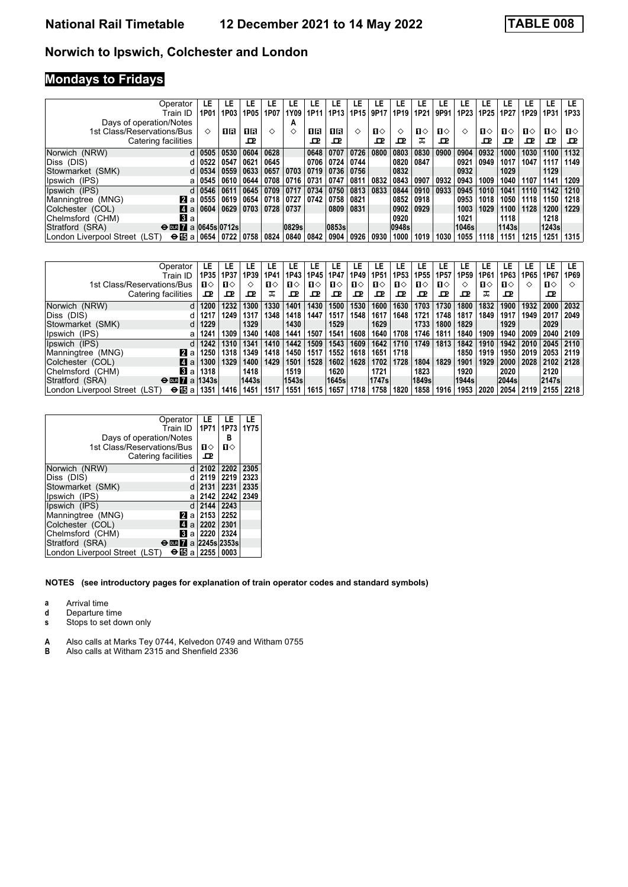#### **Norwich to Ipswich, Colchester and London**

# **Mondays to Fridays**

|                               | Operator                                 | LE   | LE   | LE   | LE   | LE    | ۵E.       | LE          | LE   | LE   | LE    | LE           | LE   | LE    | LE   | LE    | LE   | LE    | LE.  |
|-------------------------------|------------------------------------------|------|------|------|------|-------|-----------|-------------|------|------|-------|--------------|------|-------|------|-------|------|-------|------|
|                               | Train ID                                 | 1P01 | 1P03 | 1P05 | 1P07 | 1Y09  | 1P11      | 1P13        | 1P15 | 9P17 | 1P19  | 1P21         | 9P91 | 1P23  | 1P25 | 1P27  | 1P29 | 1P31  | 1P33 |
| Days of operation/Notes       |                                          |      |      |      |      | А     |           |             |      |      |       |              |      |       |      |       |      |       |      |
| 1st Class/Reservations/Bus    |                                          | ◇    | 0 B  | 16   | ◇    | ♦     | 1 R       | 1 R         | ♦    | п⇔   | ♦     | $\mathbf{n}$ | п⇔   | ◇     | ்ப   | п⇔    | п⇔   | ื่ ଘ  | п⇔   |
|                               | Catering facilities                      |      |      | ᇚ    |      |       | <b>DP</b> | ᇁ           |      | ᇁ    | ஈ     | ᠼ            | 굔    |       | ᄆ    | ᇚ     | ᇚ    | ᇛ     | 굔    |
| Norwich (NRW)                 | d.                                       | 0505 | 0530 | 0604 | 0628 |       | 0648      | 0707        | 0726 | 0800 | 0803  | 0830         | 0900 | 0904  | 0932 | 1000  | 1030 | 1100  | 1132 |
| Diss (DIS)                    |                                          | 0522 | 0547 | 0621 | 0645 |       | 0706      | 0724 0744   |      |      | 0820  | 0847         |      | 0921  | 0949 | 1017  | 1047 | 1117  | 1149 |
| Stowmarket (SMK)              | $d$ 0534                                 |      | 0559 | 0633 | 0657 | 0703  | 0719      | 0736   0756 |      |      | 0832  |              |      | 0932  |      | 1029  |      | 1129  |      |
| Ipswich (IPS)                 | a 0545                                   |      | 0610 | 0644 | 0708 | 0716  | 0731      | 0747        | 0811 | 0832 | 0843  | 0907         | 0932 | 0943  | 1009 | 1040  | 1107 | 1141  | 1209 |
| Ipswich (IPS)                 | $d$ 0546                                 |      | 0611 | 0645 | 0709 | 0717  | 0734      | 0750        | 0813 | 0833 | 0844  | 0910         | 0933 | 0945  | 1010 | 1041  | 1110 | 1142  | 1210 |
| Manningtree (MNG)             | <b>Z</b> a                               | 0555 | 0619 | 0654 | 0718 | 0727  | 0742      | 0758        | 0821 |      | 0852  | 0918         |      | 0953  | 1018 | 1050  | 1118 | 1150  | 1218 |
| Colchester (COL)              | ZI a                                     | 0604 | 0629 | 0703 | 0728 | 0737  |           | 0809        | 0831 |      | 0902  | 0929         |      | 1003  | 1029 | 1100  | 1128 | 1200  | 1229 |
| Chelmsford (CHM)              | Вl а                                     |      |      |      |      |       |           |             |      |      | 0920  |              |      | 1021  |      | 1118  |      | 1218  |      |
| Stratford (SRA)               | $\Theta$ DE $\blacksquare$ a 0645s 0712s |      |      |      |      | 0829s |           | 0853s       |      |      | 0948s |              |      | 1046s |      | 1143s |      | 1243s |      |
| London Liverpool Street (LST) | $\Theta$ is a 0654                       |      | 0722 | 0758 | 0824 | 0840  | 0842      | 0904        | 0926 | 0930 | 1000  | 1019         | 1030 | 1055  | 1118 | 1151  | 1215 | 1251  | 1315 |

| Operator<br>Train ID                                        | LE<br>1P35              | LE<br>1P37 | LE<br>1P39 | LE<br>1P41 | ᄔ<br>1P43 | ᄔ<br>1P45 | СE.<br>1P47 | 1P49 | ᄔ<br>1P51 | ᄔ<br>1P53 | LE<br>1P55 | 1P57         | LE<br>1P59. | ᄔ<br>1P61 | LE<br>1P63        | ᄔ<br>1P65 | LE<br>1P67 | LE.<br>1P69 |
|-------------------------------------------------------------|-------------------------|------------|------------|------------|-----------|-----------|-------------|------|-----------|-----------|------------|--------------|-------------|-----------|-------------------|-----------|------------|-------------|
| 1st Class/Reservations/Bus                                  | ப⇔                      | п⇔         | ◇          | ப⇔         | ்ப        | ப⇔        | ப⇔          | ்ப   | п⇔        | п⇔        | п⇔         | $\mathbf{n}$ | ◇           | ா⇔        | п⇔                | ◇         | ப⇔         | ◇           |
| Catering facilities                                         | ᇁ                       | ᇁ          | ᇁ          | ᠼ          | ᇁ         | ᇁ         | ᇁ           | ᇁ    | 굔         | 굔         | ᇁ          | ு            | œ           |           | ᇁ                 |           | ᇁ          |             |
| Norwich (NRW)                                               | 1200<br>d               | 1232       | 1300       | 1330       | 1401      | 1430      | 1500        | 1530 | 1600      | 1630      | 1703       | 1730         | 1800        | 1832      | 1900              | 1932      | 2000       | 2032        |
| Diss (DIS)                                                  | 1217                    | 1249       | 1317       | 1348       | 1418      | 1447      | 1517        | 1548 | 1617      | 1648      | 1721       | 1748         | 1817        | 1849      | 1917              | 1949      | 2017       | 2049        |
| Stowmarket (SMK)                                            | 1229                    |            | 1329       |            | 1430      |           | 1529        |      | 1629      |           | 1733       | 1800         | 1829        |           | 1929              |           | 2029       |             |
| Ipswich (IPS)<br>а                                          | 1241                    | 1309       | 1340       | 1408       | 1441      | 1507      | 1541        | 1608 | 1640      | 1708      | 1746       | 1811         | 1840        | 1909      | 1940              | 2009      | 2040       | 2109        |
| Ipswich (IPS)                                               | 1242                    | 1310       | 1341       | 1410       | 1442      | 1509      | 1543        | 1609 | 1642      | 1710      | 1749       | 1813         | 1842        | 1910      | 1942              | 2010      | 2045       | 2110        |
| <b>Z</b> a<br>Manningtree (MNG)                             | 1250                    | 1318       | 1349       | 1418       | 1450      | 1517      | 1552        | 1618 | 1651      | 1718      |            |              | 1850        | 1919      | 1950              | 2019      | 2053       | 2119        |
| Colchester (COL)<br>ZI a                                    | 1300                    | 1329       | 1400       | 1429       | 1501      | 1528      | 1602        | 1628 | 1702      | 1728      | 1804       | 1829         | 1901        | 1929      | 2000              | 2028      | 2102       | 2128        |
| Chelmsford (CHM)                                            | $\blacksquare$ a   1318 |            | 1418       |            | 1519      |           | 1620        |      | 1721      |           | 1823       |              | 1920        |           | 2020              |           | 2120       |             |
| $\Theta$ om <b>7</b> a   1343 s<br>Stratford (SRA)          |                         |            | 1443s      |            | 1543s     |           | 1645s       |      | 1747s     |           | 1849s      |              | 1944s       |           | 2044 <sub>s</sub> |           | 2147s      |             |
| <b>ILondon Liverpool Street (LST)</b><br>$\Theta$ is a 1351 |                         | 1416       | 1451       | 1517       | 1551      | 1615      | 1657        | 1718 | 1758      | 1820      | 1858       | 1916         | 1953        | 2020      | 2054              | 2119      | 2155 2218  |             |

|                               | Operator<br>Train ID<br>Days of operation/Notes<br>1st Class/Reservations/Bus<br>Catering facilities | LE<br>1P71<br>п⇔<br>굔 | LE<br>1P73 1Y75<br>в<br>П⇔ | LE.  |
|-------------------------------|------------------------------------------------------------------------------------------------------|-----------------------|----------------------------|------|
| Norwich (NRW)                 | d                                                                                                    | 2102                  | 2202                       | 2305 |
| Diss (DIS)                    | d                                                                                                    | 2119                  | 2219                       | 2323 |
| Stowmarket (SMK)              | d                                                                                                    | 2131                  | 2231                       | 2335 |
| Ipswich (IPS)                 | a                                                                                                    | 2142                  | 2242                       | 2349 |
| Ipswich (IPS)                 | d                                                                                                    | 2144                  | 2243                       |      |
| Manningtree (MNG)             | 2a a                                                                                                 | 2153                  | 2252                       |      |
| Colchester (COL)              | 4 a l                                                                                                | 2202                  | 2301                       |      |
| Chelmsford (CHM)              | 31<br>a                                                                                              | 2220                  | 2324                       |      |
| Stratford (SRA)               | $\Theta$ DLR $7$                                                                                     | a 2245s 2353s         |                            |      |
| London Liverpool Street (LST) | ⊖ili<br>a                                                                                            | 2255                  | 0003                       |      |

**NOTES (see introductory pages for explanation of train operator codes and standard symbols)**

- **a** Arrival time
- **d** Departure time
- **s** Stops to set down only
- **A** Also calls at Marks Tey 0744, Kelvedon 0749 and Witham 0755<br>**B** Also calls at Witham 2315 and Shenfield 2336
- **B** Also calls at Witham 315 and Shenfield 336